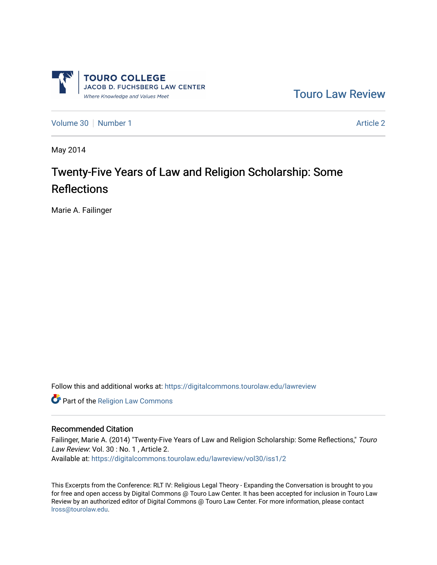

[Touro Law Review](https://digitalcommons.tourolaw.edu/lawreview) 

[Volume 30](https://digitalcommons.tourolaw.edu/lawreview/vol30) [Number 1](https://digitalcommons.tourolaw.edu/lawreview/vol30/iss1) [Article 2](https://digitalcommons.tourolaw.edu/lawreview/vol30/iss1/2) Article 2 Article 2 Article 2 Article 2 Article 2 Article 2

May 2014

# Twenty-Five Years of Law and Religion Scholarship: Some **Reflections**

Marie A. Failinger

Follow this and additional works at: [https://digitalcommons.tourolaw.edu/lawreview](https://digitalcommons.tourolaw.edu/lawreview?utm_source=digitalcommons.tourolaw.edu%2Flawreview%2Fvol30%2Fiss1%2F2&utm_medium=PDF&utm_campaign=PDFCoverPages)

Part of the [Religion Law Commons](http://network.bepress.com/hgg/discipline/872?utm_source=digitalcommons.tourolaw.edu%2Flawreview%2Fvol30%2Fiss1%2F2&utm_medium=PDF&utm_campaign=PDFCoverPages)

#### Recommended Citation

Failinger, Marie A. (2014) "Twenty-Five Years of Law and Religion Scholarship: Some Reflections," Touro Law Review: Vol. 30 : No. 1 , Article 2. Available at: [https://digitalcommons.tourolaw.edu/lawreview/vol30/iss1/2](https://digitalcommons.tourolaw.edu/lawreview/vol30/iss1/2?utm_source=digitalcommons.tourolaw.edu%2Flawreview%2Fvol30%2Fiss1%2F2&utm_medium=PDF&utm_campaign=PDFCoverPages)

This Excerpts from the Conference: RLT IV: Religious Legal Theory - Expanding the Conversation is brought to you for free and open access by Digital Commons @ Touro Law Center. It has been accepted for inclusion in Touro Law Review by an authorized editor of Digital Commons @ Touro Law Center. For more information, please contact [lross@tourolaw.edu](mailto:lross@tourolaw.edu).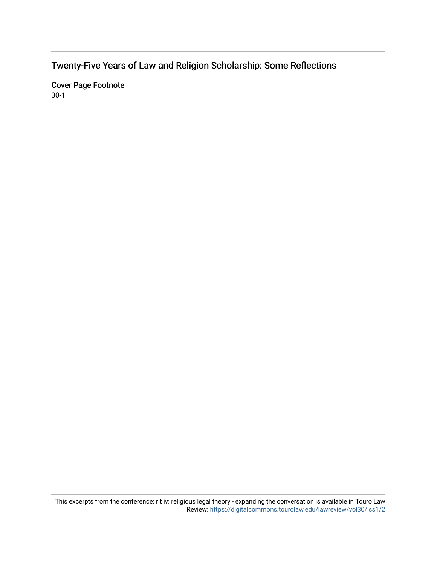Twenty-Five Years of Law and Religion Scholarship: Some Reflections

Cover Page Footnote 30-1

This excerpts from the conference: rlt iv: religious legal theory - expanding the conversation is available in Touro Law Review:<https://digitalcommons.tourolaw.edu/lawreview/vol30/iss1/2>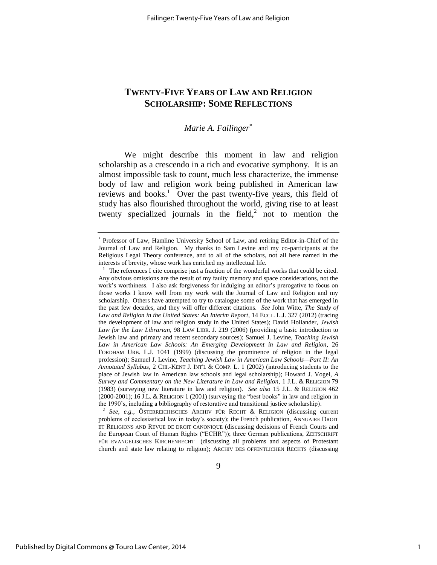# **TWENTY-FIVE YEARS OF LAW AND RELIGION SCHOLARSHIP: SOME REFLECTIONS**

## *Marie A. Failinger*

We might describe this moment in law and religion scholarship as a crescendo in a rich and evocative symphony. It is an almost impossible task to count, much less characterize, the immense body of law and religion work being published in American law reviews and books.<sup>1</sup> Over the past twenty-five years, this field of study has also flourished throughout the world, giving rise to at least twenty specialized journals in the field,<sup>2</sup> not to mention the

2 *See, e.g.*, ÖSTERREICHISCHES ARCHIV FÜR RECHT & RELIGION (discussing current problems of ecclesiastical law in today's society); the French publication, ANNUAIRE DROIT ET RELIGIONS AND REVUE DE DROIT CANONIQUE (discussing decisions of French Courts and the European Court of Human Rights ("ECHR")); three German publications, ZEITSCHRIFT FÜR EVANGELISCHES KIRCHENRECHT (discussing all problems and aspects of Protestant church and state law relating to religion); ARCHIV DES ÖFFENTLICHEN RECHTS (discussing

 Professor of Law, Hamline University School of Law, and retiring Editor-in-Chief of the Journal of Law and Religion. My thanks to Sam Levine and my co-participants at the Religious Legal Theory conference, and to all of the scholars, not all here named in the interests of brevity, whose work has enriched my intellectual life.

<sup>&</sup>lt;sup>1</sup> The references I cite comprise just a fraction of the wonderful works that could be cited. Any obvious omissions are the result of my faulty memory and space considerations, not the work's worthiness. I also ask forgiveness for indulging an editor's prerogative to focus on those works I know well from my work with the Journal of Law and Religion and my scholarship. Others have attempted to try to catalogue some of the work that has emerged in the past few decades, and they will offer different citations. *See* John Witte, *The Study of Law and Religion in the United States: An Interim Report*, 14 ECCL. L.J. 327 (2012) (tracing the development of law and religion study in the United States); David Hollander, *Jewish Law for the Law Librarian*, 98 LAW LIBR. J. 219 (2006) (providing a basic introduction to Jewish law and primary and recent secondary sources); Samuel J. Levine, *Teaching Jewish Law in American Law Schools: An Emerging Development in Law and Religion*, 26 FORDHAM URB. L.J. 1041 (1999) (discussing the prominence of religion in the legal profession); Samuel J. Levine, *Teaching Jewish Law in American Law Schools—Part II: An Annotated Syllabus*, 2 CHI.-KENT J. INT'L & COMP. L. 1 (2002) (introducing students to the place of Jewish law in American law schools and legal scholarship); Howard J. Vogel, *A Survey and Commentary on the New Literature in Law and Religion*, 1 J.L. & RELIGION 79 (1983) (surveying new literature in law and religion). *See also* 15 J.L. & RELIGION 462 (2000-2001); 16 J.L. & RELIGION 1 (2001) (surveying the "best books" in law and religion in the 1990's, including a bibliography of restorative and transitional justice scholarship).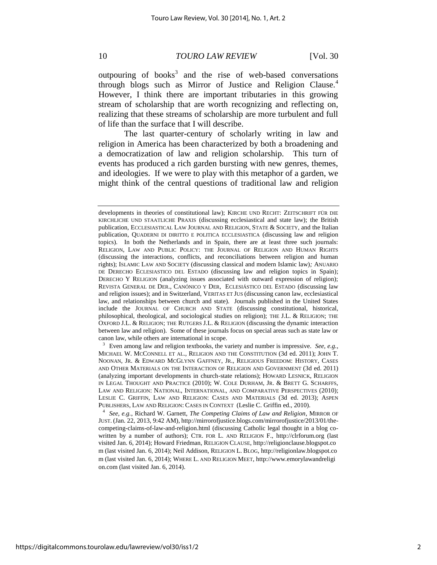outpouring of books<sup>3</sup> and the rise of web-based conversations through blogs such as Mirror of Justice and Religion Clause.<sup>4</sup> However, I think there are important tributaries in this growing stream of scholarship that are worth recognizing and reflecting on, realizing that these streams of scholarship are more turbulent and full of life than the surface that I will describe.

The last quarter-century of scholarly writing in law and religion in America has been characterized by both a broadening and a democratization of law and religion scholarship. This turn of events has produced a rich garden bursting with new genres, themes, and ideologies. If we were to play with this metaphor of a garden, we might think of the central questions of traditional law and religion

<sup>3</sup> Even among law and religion textbooks, the variety and number is impressive. *See, e.g.*, MICHAEL W. MCCONNELL ET AL., RELIGION AND THE CONSTITUTION (3d ed. 2011); JOHN T. NOONAN, JR. & EDWARD MCGLYNN GAFFNEY, JR., RELIGIOUS FREEDOM: HISTORY, CASES AND OTHER MATERIALS ON THE INTERACTION OF RELIGION AND GOVERNMENT (3d ed. 2011) (analyzing important developments in church-state relations); HOWARD LESNICK, RELIGION IN LEGAL THOUGHT AND PRACTICE (2010); W. COLE DURHAM, JR. & BRETT G. SCHARFFS, LAW AND RELIGION: NATIONAL, INTERNATIONAL, AND COMPARATIVE PERSPECTIVES (2010); LESLIE C. GRIFFIN, LAW AND RELIGION: CASES AND MATERIALS (3d ed. 2013); ASPEN PUBLISHERS, LAW AND RELIGION: CASES IN CONTEXT (Leslie C. Griffin ed., 2010).

4 *See, e.g.*, Richard W. Garnett, *The Competing Claims of Law and Religion*, MIRROR OF JUST. (Jan. 22, 2013, 9:42 AM), http://mirrorofjustice.blogs.com/mirrorofjustice/2013/01/thecompeting-claims-of-law-and-religion.html (discussing Catholic legal thought in a blog cowritten by a number of authors); CTR. FOR L. AND RELIGION F., http://clrforum.org (last visited Jan. 6, 2014); Howard Friedman, RELIGION CLAUSE, http://religionclause.blogspot.co m (last visited Jan. 6, 2014); Neil Addison, RELIGION L. BLOG, http://religionlaw.blogspot.co m (last visited Jan. 6, 2014); WHERE L. AND RELIGION MEET, http://www.emorylawandreligi on.com (last visited Jan. 6, 2014).

developments in theories of constitutional law); KIRCHE UND RECHT: ZEITSCHRIFT FÜR DIE KIRCHLICHE UND STAATLICHE PRAXIS (discussing ecclesiastical and state law); the British publication, ECCLESIASTICAL LAW JOURNAL AND RELIGION, STATE & SOCIETY, and the Italian publication, QUADERNI DI DIRITTO E POLITICA ECCLESIASTICA (discussing law and religion topics). In both the Netherlands and in Spain, there are at least three such journals: RELIGION, LAW AND PUBLIC POLICY: THE JOURNAL OF RELIGION AND HUMAN RIGHTS (discussing the interactions, conflicts, and reconciliations between religion and human rights); ISLAMIC LAW AND SOCIETY (discussing classical and modern Islamic law)*;* ANUARIO DE DERECHO ECLESIASTICO DEL ESTADO (discussing law and religion topics in Spain); DERECHO Y RELIGION (analyzing issues associated with outward expression of religion); REVISTA GENERAL DE DER., CANÓNICO Y DER, ECLESIÁSTICO DEL ESTADO (discussing law and religion issues); and in Switzerland, VERITAS ET JUS (discussing canon law, ecclesiastical law, and relationships between church and state). Journals published in the United States include the JOURNAL OF CHURCH AND STATE (discussing constitutional, historical, philosophical, theological, and sociological studies on religion); THE J.L. & RELIGION; THE OXFORD J.L. & RELIGION; THE RUTGERS J.L. & RELIGION (discussing the dynamic interaction between law and religion). Some of these journals focus on special areas such as state law or canon law, while others are international in scope.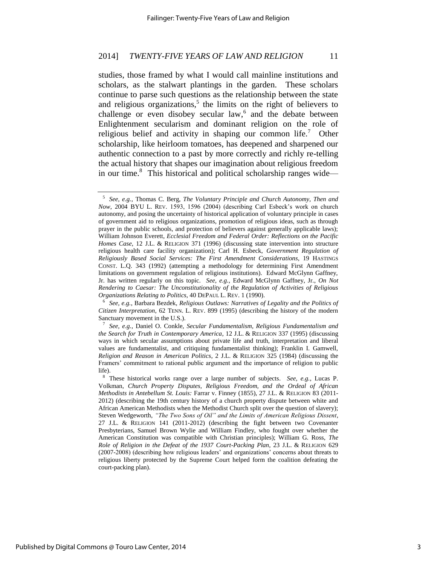studies, those framed by what I would call mainline institutions and scholars, as the stalwart plantings in the garden. These scholars continue to parse such questions as the relationship between the state and religious organizations, $5$  the limits on the right of believers to challenge or even disobey secular law,<sup>6</sup> and the debate between Enlightenment secularism and dominant religion on the role of religious belief and activity in shaping our common life.<sup>7</sup> Other scholarship, like heirloom tomatoes, has deepened and sharpened our authentic connection to a past by more correctly and richly re-telling the actual history that shapes our imagination about religious freedom in our time.<sup>8</sup> This historical and political scholarship ranges wide—

<sup>5</sup> *See, e.g.*, Thomas C. Berg, *The Voluntary Principle and Church Autonomy, Then and Now*, 2004 BYU L. REV. 1593, 1596 (2004) (describing Carl Esbeck's work on church autonomy, and posing the uncertainty of historical application of voluntary principle in cases of government aid to religious organizations, promotion of religious ideas, such as through prayer in the public schools, and protection of believers against generally applicable laws); William Johnson Everett, *Ecclesial Freedom and Federal Order: Reflections on the Pacific Homes Case*, 12 J.L. & RELIGION 371 (1996) (discussing state intervention into structure religious health care facility organization); Carl H. Esbeck, *Government Regulation of Religiously Based Social Services: The First Amendment Considerations*, 19 HASTINGS CONST. L.Q. 343 (1992) (attempting a methodology for determining First Amendment limitations on government regulation of religious institutions). Edward McGlynn Gaffney, Jr. has written regularly on this topic. *See, e.g.*, Edward McGlynn Gaffney, Jr., *On Not Rendering to Caesar: The Unconstitutionality of the Regulation of Activities of Religious Organizations Relating to Politics*, 40 DEPAUL L. REV. 1 (1990).

<sup>6</sup> *See, e.g.*, Barbara Bezdek, *Religious Outlaws: Narratives of Legality and the Politics of Citizen Interpretation*, 62 TENN. L. REV. 899 (1995) (describing the history of the modern Sanctuary movement in the U.S.).

<sup>7</sup> *See, e.g.*, Daniel O. Conkle, *Secular Fundamentalism, Religious Fundamentalism and the Search for Truth in Contemporary America*, 12 J.L. & RELIGION 337 (1995) (discussing ways in which secular assumptions about private life and truth, interpretation and liberal values are fundamentalist, and critiquing fundamentalist thinking); Franklin I. Gamwell, *Religion and Reason in American Politics*, 2 J.L. & RELIGION 325 (1984) (discussing the Framers' commitment to rational public argument and the importance of religion to public life).

<sup>8</sup> These historical works range over a large number of subjects. *See, e.g.*, Lucas P. Volkman, *Church Property Disputes, Religious Freedom, and the Ordeal of African Methodists in Antebellum St. Louis:* Farrar v. Finney (1855), 27 J.L. & RELIGION 83 (2011- 2012) (describing the 19th century history of a church property dispute between white and African American Methodists when the Methodist Church split over the question of slavery); Steven Wedgeworth, *"The Two Sons of Oil" and the Limits of American Religious Dissent*, 27 J.L. & RELIGION 141 (2011-2012) (describing the fight between two Covenanter Presbyterians, Samuel Brown Wylie and William Findley, who fought over whether the American Constitution was compatible with Christian principles); William G. Ross, *The Role of Religion in the Defeat of the 1937 Court-Packing Plan*, 23 J.L. & RELIGION 629 (2007-2008) (describing how religious leaders' and organizations' concerns about threats to religious liberty protected by the Supreme Court helped form the coalition defeating the court-packing plan).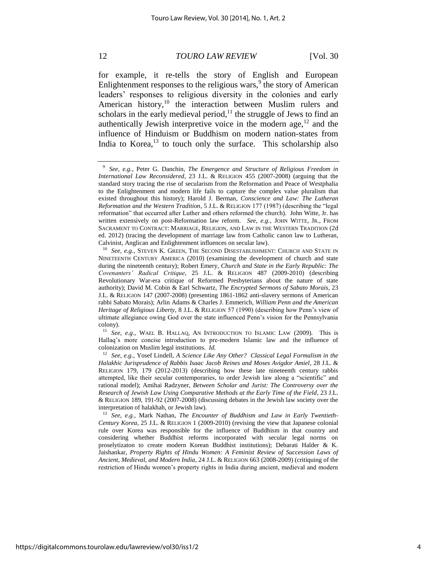for example, it re-tells the story of English and European Enlightenment responses to the religious wars, $9$  the story of American leaders' responses to religious diversity in the colonies and early American history,  $10$  the interaction between Muslim rulers and scholars in the early medieval period, $11$  the struggle of Jews to find an authentically Jewish interpretive voice in the modern age,  $12$  and the influence of Hinduism or Buddhism on modern nation-states from India to Korea, $^{13}$  to touch only the surface. This scholarship also

<sup>11</sup> *See, e.g.*, WAEL B. HALLAQ, AN INTRODUCTION TO ISLAMIC LAW (2009). This is Hallaq's more concise introduction to pre-modern Islamic law and the influence of colonization on Muslim legal institutions. *Id.*

<sup>13</sup> *See, e.g.*, Mark Nathan, *The Encounter of Buddhism and Law in Early Twentieth-Century Korea*, 25 J.L. & RELIGION 1 (2009-2010) (revising the view that Japanese colonial rule over Korea was responsible for the influence of Buddhism in that country and considering whether Buddhist reforms incorporated with secular legal norms on proselytizaton to create modern Korean Buddhist institutions); Debarati Halder & K. Jaishankar, *Property Rights of Hindu Women: A Feminist Review of Succession Laws of Ancient, Medieval, and Modern India*, 24 J.L. & RELIGION 663 (2008-2009) (critiquing of the restriction of Hindu women's property rights in India during ancient, medieval and modern

<sup>9</sup> *See, e.g.*, Peter G. Danchin, *The Emergence and Structure of Religious Freedom in International Law Reconsidered*, 23 J.L. & RELIGION 455 (2007-2008) (arguing that the standard story tracing the rise of secularism from the Reformation and Peace of Westphalia to the Enlightenment and modern life fails to capture the complex value pluralism that existed throughout this history); Harold J. Berman, *Conscience and Law: The Lutheran Reformation and the Western Tradition*, 5 J.L. & RELIGION 177 (1987) (describing the "legal reformation" that occurred after Luther and others reformed the church). John Witte, Jr. has written extensively on post-Reformation law reform. *See, e.g.*, JOHN WITTE, JR., FROM SACRAMENT TO CONTRACT: MARRIAGE, RELIGION, AND LAW IN THE WESTERN TRADITION (2d ed. 2012) (tracing the development of marriage law from Catholic canon law to Lutheran, Calvinist, Anglican and Enlightenment influences on secular law).

<sup>&</sup>lt;sup>10</sup> See, e.g., STEVEN K. GREEN, THE SECOND DISESTABLISHMENT: CHURCH AND STATE IN NINETEENTH CENTURY AMERICA (2010) (examining the development of church and state during the nineteenth century); Robert Emery, *Church and State in the Early Republic: The Covenanters' Radical Critique*, 25 J.L. & RELIGION 487 (2009-2010) (describing Revolutionary War-era critique of Reformed Presbyterians about the nature of state authority); David M. Cobin & Earl Schwartz, *The Encrypted Sermons of Sabato Morais*, 23 J.L. & RELIGION 147 (2007-2008) (presenting 1861-1862 anti-slavery sermons of American rabbi Sabato Morais); Arlin Adams & Charles J. Emmerich, *William Penn and the American Heritage of Religious Liberty*, 8 J.L. & RELIGION 57 (1990) (describing how Penn's view of ultimate allegiance owing God over the state influenced Penn's vision for the Pennsylvania colony).

<sup>12</sup> *See, e.g.*, Yosef Lindell, *A Science Like Any Other? Classical Legal Formalism in the Halakhic Jurisprudence of Rabbis Isaac Jacob Reines and Moses Avigdor Amiel*, 28 J.L. & RELIGION 179, 179 (2012-2013) (describing how these late nineteenth century rabbis attempted, like their secular contemporaries, to order Jewish law along a "scientific" and rational model); Amihai Radzyner, *Between Scholar and Jurist: The Controversy over the Research of Jewish Law Using Comparative Methods at the Early Time of the Field*, 23 J.L. & RELIGION 189, 191-92 (2007-2008) (discussing debates in the Jewish law society over the interpretation of halakhah, or Jewish law).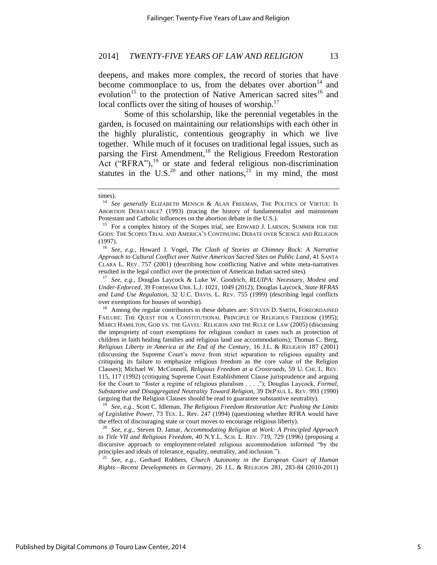deepens, and makes more complex, the record of stories that have become commonplace to us, from the debates over abortion<sup>14</sup> and evolution<sup>15</sup> to the protection of Native American sacred sites<sup>16</sup> and local conflicts over the siting of houses of worship.<sup>17</sup>

Some of this scholarship, like the perennial vegetables in the garden, is focused on maintaining our relationships with each other in the highly pluralistic, contentious geography in which we live together. While much of it focuses on traditional legal issues, such as parsing the First Amendment,<sup>18</sup> the Religious Freedom Restoration Act ("RFRA"),<sup>19</sup> or state and federal religious non-discrimination statutes in the U.S.<sup>20</sup> and other nations,  $2\overline{1}$  in my mind, the most

<sup>19</sup> *See, e.g.*, Scott C. Idleman, *The Religious Freedom Restoration Act: Pushing the Limits of Legislative Power*, 73 TEX. L. Rev. 247 (1994) (questioning whether RFRA would have the effect of discouraging state or court moves to encourage religious liberty).

<sup>20</sup> *See, e.g*., Steven D. Jamar, *Accommodating Religion at Work: A Principled Approach to Title VII and Religious Freedom*, 40 N.Y.L. SCH. L. REV. 719, 729 (1996) (proposing a discursive approach to employment-related religious accommodation informed "by the principles and ideals of tolerance, equality, neutrality, and inclusion.").

<sup>21</sup> *See, e.g.*, Gerhard Robbers, *Church Autonomy in the European Court of Human Rights—Recent Developments in Germany*, 26 J.L. & RELIGION 281, 283-84 (2010-2011)

times).

<sup>&</sup>lt;sup>14</sup> See generally ELIZABETH MENSCH & ALAN FREEMAN, THE POLITICS OF VIRTUE: IS ABORTION DEBATABLE? (1993) (tracing the history of fundamentalist and mainstream Protestant and Catholic influences on the abortion debate in the U.S.).

<sup>&</sup>lt;sup>15</sup> For a complex history of the Scopes trial, see EDWARD J. LARSON, SUMMER FOR THE GODS: THE SCOPES TRIAL AND AMERICA'S CONTINUING DEBATE OVER SCIENCE AND RELIGION (1997).

<sup>16</sup> *See, e.g.*, Howard J. Vogel, *The Clash of Stories at Chimney Rock: A Narrative Approach to Cultural Conflict over Native American Sacred Sites on Public Land*, 41 SANTA CLARA L. REV. 757 (2001) (describing how conflicting Native and white meta-narratives resulted in the legal conflict over the protection of American Indian sacred sites).

<sup>17</sup> *See, e.g.*, Douglas Laycock & Luke W. Goodrich, *RLUIPA: Necessary, Modest and Under-Enforced*, 39 FORDHAM URB. L.J. 1021, 1049 (2012); Douglas Laycock, *State RFRAS and Land Use Regulation*, 32 U.C. DAVIS. L. REV. 755 (1999) (describing legal conflicts over exemptions for houses of worship).

<sup>&</sup>lt;sup>18</sup> Among the regular contributors to these debates are: STEVEN D. SMITH, FOREORDAINED FAILURE: THE QUEST FOR A CONSTITUTIONAL PRINCIPLE OF RELIGIOUS FREEDOM (1995); MARCI HAMILTON, GOD VS. THE GAVEL: RELIGION AND THE RULE OF LAW (2005) (discussing the impropriety of court exemptions for religious conduct in cases such as protection of children in faith healing families and religious land use accommodations); Thomas C. Berg, *Religious Liberty in America at the End of the Century*, 16 J.L. & RELIGION 187 (2001) (discussing the Supreme Court's move from strict separation to religious equality and critiquing its failure to emphasize religious freedom as the core value of the Religion Clauses); Michael W. McConnell, *Religious Freedom at a Crossroads*, 59 U. CHI. L. REV. 115, 117 (1992) (critiquing Supreme Court Establishment Clause jurisprudence and arguing for the Court to "foster a regime of religious pluralism . . . ."); Douglas Laycock, *Formal, Substantive and Disaggregated Neutrality Toward Religion*, 39 DEPAUL L. REV. 993 (1990) (arguing that the Religion Clauses should be read to guarantee substantive neutrality).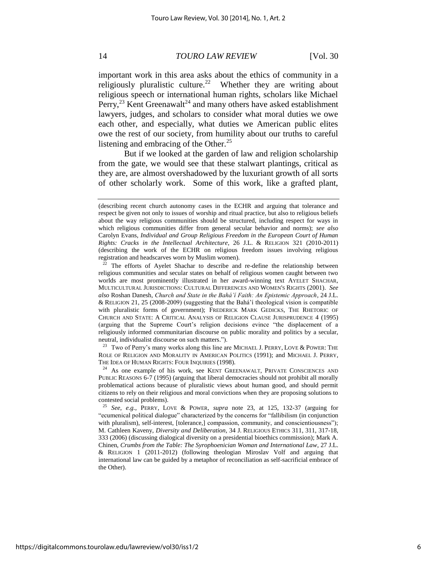important work in this area asks about the ethics of community in a religiously pluralistic culture.<sup>22</sup> Whether they are writing about religious speech or international human rights, scholars like Michael Perry,  $^{23}$  Kent Greenawalt<sup>24</sup> and many others have asked establishment lawyers, judges, and scholars to consider what moral duties we owe each other, and especially, what duties we American public elites owe the rest of our society, from humility about our truths to careful listening and embracing of the Other. $^{25}$ 

But if we looked at the garden of law and religion scholarship from the gate, we would see that these stalwart plantings, critical as they are, are almost overshadowed by the luxuriant growth of all sorts of other scholarly work. Some of this work, like a grafted plant,

<sup>23</sup> Two of Perry's many works along this line are MICHAEL J. PERRY, LOVE & POWER: THE ROLE OF RELIGION AND MORALITY IN AMERICAN POLITICS (1991); and MICHAEL J. PERRY, THE IDEA OF HUMAN RIGHTS: FOUR INQUIRIES (1998).

<sup>24</sup> As one example of his work, see KENT GREENAWALT, PRIVATE CONSCIENCES AND PUBLIC REASONS 6-7 (1995) (arguing that liberal democracies should not prohibit all morally problematical actions because of pluralistic views about human good, and should permit citizens to rely on their religious and moral convictions when they are proposing solutions to contested social problems).

<sup>25</sup> *See, e.g.*, PERRY, LOVE & POWER, *supra* note 23, at 125, 132-37 (arguing for "ecumenical political dialogue" characterized by the concerns for "fallibilism (in conjunction with pluralism), self-interest, [tolerance,] compassion, community, and conscientiousness"); M. Cathleen Kaveny, *Diversity and Deliberation*, 34 J. RELIGIOUS ETHICS 311, 311, 317-18, 333 (2006) (discussing dialogical diversity on a presidential bioethics commission); Mark A. Chinen, *Crumbs from the Table: The Syrophoenician Woman and International Law*, 27 J.L. & RELIGION 1 (2011-2012) (following theologian Miroslav Volf and arguing that international law can be guided by a metaphor of reconciliation as self-sacrificial embrace of the Other).

https://digitalcommons.tourolaw.edu/lawreview/vol30/iss1/2

<sup>(</sup>describing recent church autonomy cases in the ECHR and arguing that tolerance and respect be given not only to issues of worship and ritual practice, but also to religious beliefs about the way religious communities should be structured, including respect for ways in which religious communities differ from general secular behavior and norms); *see also* Carolyn Evans, *Individual and Group Religious Freedom in the European Court of Human Rights: Cracks in the Intellectual Architecture*, 26 J.L. & RELIGION 321 (2010-2011) (describing the work of the ECHR on religious freedom issues involving religious registration and headscarves worn by Muslim women).

The efforts of Ayelet Shachar to describe and re-define the relationship between religious communities and secular states on behalf of religious women caught between two worlds are most prominently illustrated in her award-winning text AYELET SHACHAR, MULTICULTURAL JURISDICTIONS: CULTURAL DIFFERENCES AND WOMEN'S RIGHTS (2001). *See also* Roshan Danesh, *Church and State in the Bahá'í Faith: An Epistemic Approach*, 24 J.L. & RELIGION 21, 25 (2008-2009) (suggesting that the Bahá'í theological vision is compatible with pluralistic forms of government); FREDERICK MARK GEDICKS, THE RHETORIC OF CHURCH AND STATE: A CRITICAL ANALYSIS OF RELIGION CLAUSE JURISPRUDENCE 4 (1995) (arguing that the Supreme Court's religion decisions evince "the displacement of a religiously informed communitarian discourse on public morality and politics by a secular, neutral, individualist discourse on such matters.").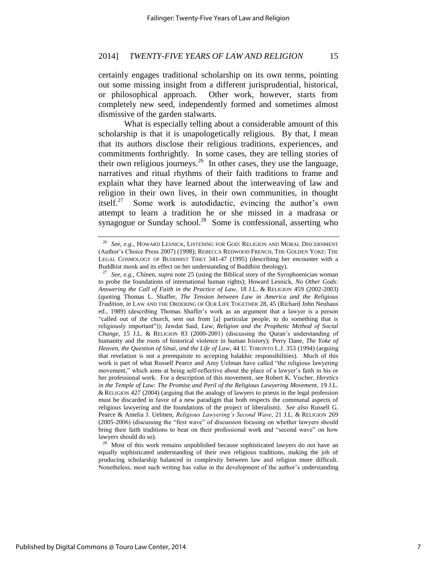certainly engages traditional scholarship on its own terms, pointing out some missing insight from a different jurisprudential, historical, or philosophical approach. Other work, however, starts from completely new seed, independently formed and sometimes almost dismissive of the garden stalwarts.

What is especially telling about a considerable amount of this scholarship is that it is unapologetically religious. By that, I mean that its authors disclose their religious traditions, experiences, and commitments forthrightly. In some cases, they are telling stories of their own religious journeys.<sup>26</sup> In other cases, they use the language, narratives and ritual rhythms of their faith traditions to frame and explain what they have learned about the interweaving of law and religion in their own lives, in their own communities, in thought itself. $27$  Some work is autodidactic, evincing the author's own attempt to learn a tradition he or she missed in a madrasa or synagogue or Sunday school. $^{28}$  Some is confessional, asserting who

See, e.g., HOWARD LESNICK, LISTENING FOR GOD: RELIGION AND MORAL DISCERNMENT (Author's Choice Press 2007) (1998); REBECCA REDWOOD FRENCH, THE GOLDEN YOKE: THE LEGAL COSMOLOGY OF BUDDHIST TIBET 341-47 (1995) (describing her encounter with a Buddhist monk and its effect on her understanding of Buddhist theology).

<sup>27</sup> *See, e.g.*, Chinen, *supra* note 25 (using the Biblical story of the Syrophoenician woman to probe the foundations of international human rights); Howard Lesnick, *No Other Gods: Answering the Call of Faith in the Practice of Law*, 18 J.L. & RELIGION 459 (2002-2003) (quoting Thomas L. Shaffer, *The Tension between Law in America and the Religious Tradition*, *in* LAW AND THE ORDERING OF OUR LIFE TOGETHER 28, 45 (Richard John Neuhaus ed., 1989) (describing Thomas Shaffer's work as an argument that a lawyer is a person "called out of the church, sent out from [a] particular people, to do something that is religiously important")); Jawdat Said, *Law, Religion and the Prophetic Method of Social Change*, 15 J.L. & RELIGION 83 (2000-2001) (discussing the Quran's understanding of humanity and the roots of historical violence in human history); Perry Dane, *The Yoke of Heaven, the Question of Sinai, and the Life of Law*, 44 U. TORONTO L.J. 353 (1994) (arguing that revelation is not a prerequisite to accepting halakhic responsibilities). Much of this work is part of what Russell Pearce and Amy Uelman have called "the religious lawyering movement," which aims at being self-reflective about the place of a lawyer's faith in his or her professional work. For a description of this movement, see Robert K. Vischer, *Heretics in the Temple of Law: The Promise and Peril of the Religious Lawyering Movement*, 19 J.L. & RELIGION 427 (2004) (arguing that the analogy of lawyers to priests in the legal profession must be discarded in favor of a new paradigm that both respects the communal aspects of religious lawyering and the foundations of the project of liberalism). *See also* Russell G. Pearce & Amelia J. Uelmen, *Religious Lawyering's Second Wave*, 21 J.L. & RELIGION 269 (2005-2006) (discussing the "first wave" of discussion focusing on whether lawyers should bring their faith traditions to bear on their professional work and "second wave" on how lawyers should do so).

<sup>&</sup>lt;sup>28</sup> Most of this work remains unpublished because sophisticated lawyers do not have an equally sophisticated understanding of their own religious traditions, making the job of producing scholarship balanced in complexity between law and religion more difficult. Nonetheless, most such writing has value in the development of the author's understanding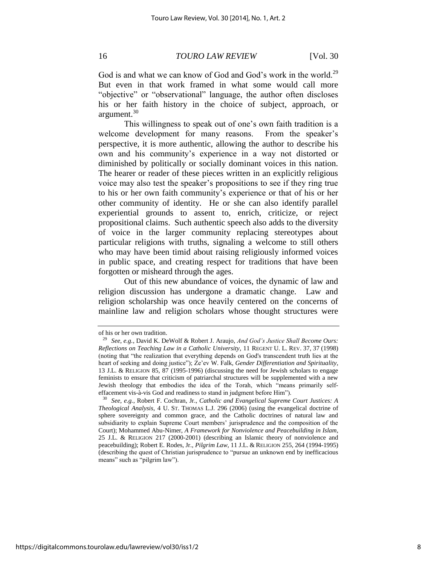God is and what we can know of God and God's work in the world.<sup>29</sup> But even in that work framed in what some would call more "objective" or "observational" language, the author often discloses his or her faith history in the choice of subject, approach, or argument.<sup>30</sup>

This willingness to speak out of one's own faith tradition is a welcome development for many reasons. From the speaker's perspective, it is more authentic, allowing the author to describe his own and his community's experience in a way not distorted or diminished by politically or socially dominant voices in this nation. The hearer or reader of these pieces written in an explicitly religious voice may also test the speaker's propositions to see if they ring true to his or her own faith community's experience or that of his or her other community of identity. He or she can also identify parallel experiential grounds to assent to, enrich, criticize, or reject propositional claims. Such authentic speech also adds to the diversity of voice in the larger community replacing stereotypes about particular religions with truths, signaling a welcome to still others who may have been timid about raising religiously informed voices in public space, and creating respect for traditions that have been forgotten or misheard through the ages.

Out of this new abundance of voices, the dynamic of law and religion discussion has undergone a dramatic change. Law and religion scholarship was once heavily centered on the concerns of mainline law and religion scholars whose thought structures were

of his or her own tradition.

<sup>29</sup> *See, e.g.*, David K. DeWolf & Robert J. Araujo, *And God's Justice Shall Become Ours: Reflections on Teaching Law in a Catholic University*, 11 REGENT U. L. REV. 37, 37 (1998) (noting that "the realization that everything depends on God's transcendent truth lies at the heart of seeking and doing justice"); Ze'ev W. Falk, *Gender Differentiation and Spirituality*, 13 J.L. & RELIGION 85, 87 (1995-1996) (discussing the need for Jewish scholars to engage feminists to ensure that criticism of patriarchal structures will be supplemented with a new Jewish theology that embodies the idea of the Torah, which "means primarily selfeffacement vis-à-vis God and readiness to stand in judgment before Him").

<sup>30</sup> *See, e.g.*, Robert F. Cochran, Jr., *Catholic and Evangelical Supreme Court Justices: A Theological Analysis*, 4 U. ST. THOMAS L.J. 296 (2006) (using the evangelical doctrine of sphere sovereignty and common grace, and the Catholic doctrines of natural law and subsidiarity to explain Supreme Court members' jurisprudence and the composition of the Court); Mohammed Abu-Nimer, *A Framework for Nonviolence and Peacebuilding in Islam*, 25 J.L. & RELIGION 217 (2000-2001) (describing an Islamic theory of nonviolence and peacebuilding); Robert E. Rodes, Jr., *Pilgrim Law*, 11 J.L. & RELIGION 255, 264 (1994-1995) (describing the quest of Christian jurisprudence to "pursue an unknown end by inefficacious means" such as "pilgrim law").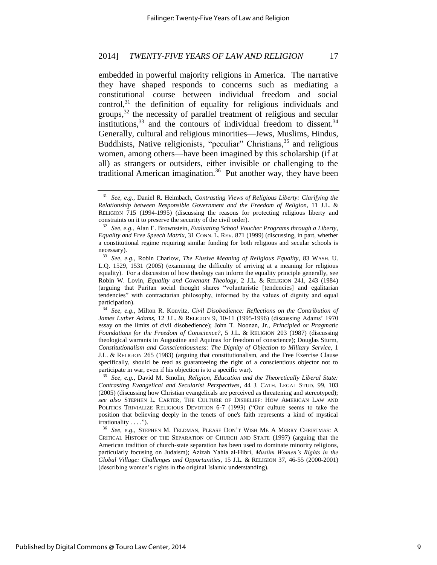embedded in powerful majority religions in America. The narrative they have shaped responds to concerns such as mediating a constitutional course between individual freedom and social  $control<sub>1</sub><sup>31</sup>$  the definition of equality for religious individuals and groups,<sup>32</sup> the necessity of parallel treatment of religious and secular institutions, $33$  and the contours of individual freedom to dissent. $34$ Generally, cultural and religious minorities—Jews, Muslims, Hindus, Buddhists, Native religionists, "peculiar" Christians, $35$  and religious women, among others—have been imagined by this scholarship (if at all) as strangers or outsiders, either invisible or challenging to the traditional American imagination.<sup>36</sup> Put another way, they have been

<sup>31</sup> *See, e.g.*, Daniel R. Heimbach, *Contrasting Views of Religious Liberty: Clarifying the Relationship between Responsible Government and the Freedom of Religion*, 11 J.L. & RELIGION 715 (1994-1995) (discussing the reasons for protecting religious liberty and constraints on it to preserve the security of the civil order).

<sup>32</sup> *See, e.g.*, Alan E. Brownstein, *Evaluating School Voucher Programs through a Liberty, Equality and Free Speech Matrix*, 31 CONN. L. REV. 871 (1999) (discussing, in part, whether a constitutional regime requiring similar funding for both religious and secular schools is necessary).

<sup>33</sup> *See, e.g.*, Robin Charlow, *The Elusive Meaning of Religious Equality*, 83 WASH. U. L.Q. 1529, 1531 (2005) (examining the difficulty of arriving at a meaning for religious equality). For a discussion of how theology can inform the equality principle generally, see Robin W. Lovin, *Equality and Covenant Theology*, 2 J.L. & RELIGION 241, 243 (1984) (arguing that Puritan social thought shares "voluntaristic [tendencies] and egalitarian tendencies" with contractarian philosophy, informed by the values of dignity and equal participation).

<sup>34</sup> *See, e.g.*, Milton R. Konvitz, *Civil Disobedience: Reflections on the Contribution of James Luther Adams*, 12 J.L. & RELIGION 9, 10-11 (1995-1996) (discussing Adams' 1970 essay on the limits of civil disobedience); John T. Noonan, Jr., *Principled or Pragmatic Foundations for the Freedom of Conscience?*, 5 J.L. & RELIGION 203 (1987) (discussing theological warrants in Augustine and Aquinas for freedom of conscience); Douglas Sturm, *Constitutionalism and Conscientiousness: The Dignity of Objection to Military Service*, 1 J.L. & RELIGION 265 (1983) (arguing that constitutionalism, and the Free Exercise Clause specifically, should be read as guaranteeing the right of a conscientious objector not to participate in war, even if his objection is to a specific war).

<sup>35</sup> *See, e.g.*, David M. Smolin, *Religion, Education and the Theoretically Liberal State: Contrasting Evangelical and Secularist Perspectives*, 44 J. CATH. LEGAL STUD. 99, 103 (2005) (discussing how Christian evangelicals are perceived as threatening and stereotyped); *see also* STEPHEN L. CARTER, THE CULTURE OF DISBELIEF: HOW AMERICAN LAW AND POLITICS TRIVIALIZE RELIGIOUS DEVOTION 6-7 (1993) ("Our culture seems to take the position that believing deeply in the tenets of one's faith represents a kind of mystical irrationality . . . .").

<sup>36</sup> *See, e.g.*, STEPHEN M. FELDMAN, PLEASE DON'T WISH ME A MERRY CHRISTMAS: A CRITICAL HISTORY OF THE SEPARATION OF CHURCH AND STATE (1997) (arguing that the American tradition of church-state separation has been used to dominate minority religions, particularly focusing on Judaism); Azizah Yahia al-Hibri, *Muslim Women's Rights in the Global Village: Challenges and Opportunities*, 15 J.L. & RELIGION 37, 46-55 (2000-2001) (describing women's rights in the original Islamic understanding).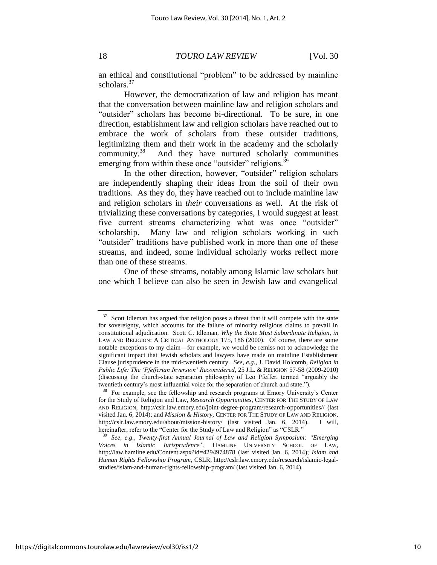an ethical and constitutional "problem" to be addressed by mainline scholars.<sup>37</sup>

However, the democratization of law and religion has meant that the conversation between mainline law and religion scholars and "outsider" scholars has become bi-directional. To be sure, in one direction, establishment law and religion scholars have reached out to embrace the work of scholars from these outsider traditions, legitimizing them and their work in the academy and the scholarly community.<sup>38</sup> And they have nurtured scholarly communities emerging from within these once "outsider" religions.<sup>39</sup>

In the other direction, however, "outsider" religion scholars are independently shaping their ideas from the soil of their own traditions. As they do, they have reached out to include mainline law and religion scholars in *their* conversations as well. At the risk of trivializing these conversations by categories, I would suggest at least five current streams characterizing what was once "outsider" scholarship. Many law and religion scholars working in such "outsider" traditions have published work in more than one of these streams, and indeed, some individual scholarly works reflect more than one of these streams.

One of these streams, notably among Islamic law scholars but one which I believe can also be seen in Jewish law and evangelical

 $37$  Scott Idleman has argued that religion poses a threat that it will compete with the state for sovereignty, which accounts for the failure of minority religious claims to prevail in constitutional adjudication. Scott C. Idleman, *Why the State Must Subordinate Religion*, *in* LAW AND RELIGION: A CRITICAL ANTHOLOGY 175, 186 (2000). Of course, there are some notable exceptions to my claim—for example, we would be remiss not to acknowledge the significant impact that Jewish scholars and lawyers have made on mainline Establishment Clause jurisprudence in the mid-twentieth century. *See, e.g.*, J. David Holcomb, *Religion in Public Life: The 'Pfefferian Inversion' Reconsidered*, 25 J.L. & RELIGION 57-58 (2009-2010) (discussing the church-state separation philosophy of Leo Pfeffer, termed "arguably the twentieth century's most influential voice for the separation of church and state.").

<sup>&</sup>lt;sup>38</sup> For example, see the fellowship and research programs at Emory University's Center for the Study of Religion and Law, *Research Opportunities*, CENTER FOR THE STUDY OF LAW AND RELIGION, http://cslr.law.emory.edu/joint-degree-program/research-opportunities// (last visited Jan. 6, 2014); and *Mission & History*, CENTER FOR THE STUDY OF LAW AND RELIGION, http://cslr.law.emory.edu/about/mission-history/ (last visited Jan. 6, 2014). I will, hereinafter, refer to the "Center for the Study of Law and Religion" as "CSLR."

<sup>39</sup> *See, e.g.*, *Twenty-first Annual Journal of Law and Religion Symposium: "Emerging Voices in Islamic Jurisprudence"*, HAMLINE UNIVERSITY SCHOOL OF LAW, http://law.hamline.edu/Content.aspx?id=4294974878 (last visited Jan. 6, 2014); *Islam and Human Rights Fellowship Program*, CSLR, http://cslr.law.emory.edu/research/islamic-legalstudies/islam-and-human-rights-fellowship-program/ (last visited Jan. 6, 2014).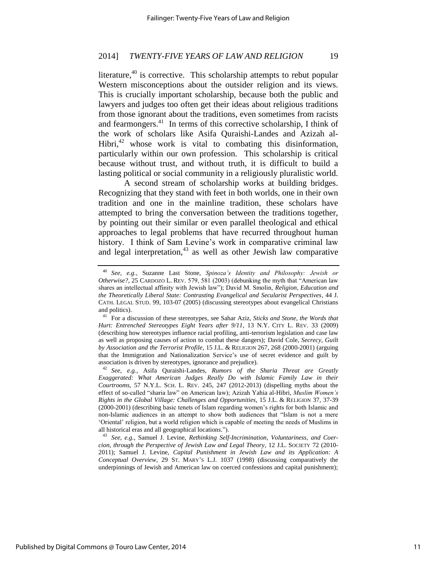literature, $40$  is corrective. This scholarship attempts to rebut popular Western misconceptions about the outsider religion and its views. This is crucially important scholarship, because both the public and lawyers and judges too often get their ideas about religious traditions from those ignorant about the traditions, even sometimes from racists and fearmongers.<sup>41</sup> In terms of this corrective scholarship, I think of the work of scholars like Asifa Quraishi-Landes and Azizah al-Hibri, $42$  whose work is vital to combating this disinformation, particularly within our own profession. This scholarship is critical because without trust, and without truth, it is difficult to build a lasting political or social community in a religiously pluralistic world.

A second stream of scholarship works at building bridges. Recognizing that they stand with feet in both worlds, one in their own tradition and one in the mainline tradition, these scholars have attempted to bring the conversation between the traditions together, by pointing out their similar or even parallel theological and ethical approaches to legal problems that have recurred throughout human history. I think of Sam Levine's work in comparative criminal law and legal interpretation, $43$  as well as other Jewish law comparative

<sup>40</sup> *See, e.g.*, Suzanne Last Stone, *Spinoza's Identity and Philosophy: Jewish or Otherwise?*, 25 CARDOZO L. REV. 579, 581 (2003) (debunking the myth that "American law shares an intellectual affinity with Jewish law"); David M. Smolin, *Religion, Education and the Theoretically Liberal State: Contrasting Evangelical and Secularist Perspectives*, 44 J. CATH. LEGAL STUD. 99, 103-07 (2005) (discussing stereotypes about evangelical Christians and politics).

<sup>41</sup> For a discussion of these stereotypes, see Sahar Aziz, *Sticks and Stone, the Words that Hurt: Entrenched Stereotypes Eight Years after 9/11*, 13 N.Y. CITY L. REV. 33 (2009) (describing how stereotypes influence racial profiling, anti-terrorism legislation and case law as well as proposing causes of action to combat these dangers); David Cole, *Secrecy, Guilt by Association and the Terrorist Profile*, 15 J.L. & RELIGION 267, 268 (2000-2001) (arguing that the Immigration and Nationalization Service's use of secret evidence and guilt by association is driven by stereotypes, ignorance and prejudice).

<sup>42</sup> *See, e.g.*, Asifa Quraishi-Landes, *Rumors of the Sharia Threat are Greatly Exaggerated: What American Judges Really Do with Islamic Family Law in their Courtrooms*, 57 N.Y.L. SCH. L. REV. 245, 247 (2012-2013) (dispelling myths about the effect of so-called "sharia law" on American law); Azizah Yahia al-Hibri, *Muslim Women's Rights in the Global Village: Challenges and Opportunities*, 15 J.L. & RELIGION 37, 37-39 (2000-2001) (describing basic tenets of Islam regarding women's rights for both Islamic and non-Islamic audiences in an attempt to show both audiences that "Islam is not a mere 'Oriental' religion, but a world religion which is capable of meeting the needs of Muslims in all historical eras and all geographical locations.").

<sup>43</sup> *See, e.g.*, Samuel J. Levine, *Rethinking Self-Incrimination, Voluntariness, and Coercion, through the Perspective of Jewish Law and Legal Theory*, 12 J.L. SOCIETY 72 (2010- 2011); Samuel J. Levine, *Capital Punishment in Jewish Law and its Application: A Conceptual Overview*, 29 ST. MARY'S L.J. 1037 (1998) (discussing comparatively the underpinnings of Jewish and American law on coerced confessions and capital punishment);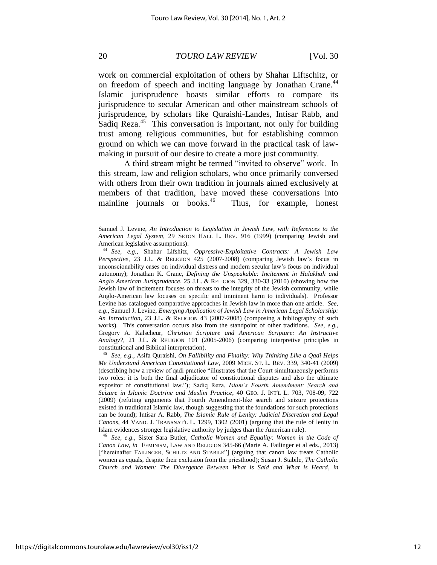work on commercial exploitation of others by Shahar Liftschitz, or on freedom of speech and inciting language by Jonathan Crane.<sup>44</sup> Islamic jurisprudence boasts similar efforts to compare its jurisprudence to secular American and other mainstream schools of jurisprudence, by scholars like Quraishi-Landes, Intisar Rabb, and Sadiq Reza.<sup>45</sup> This conversation is important, not only for building trust among religious communities, but for establishing common ground on which we can move forward in the practical task of lawmaking in pursuit of our desire to create a more just community.

A third stream might be termed "invited to observe" work. In this stream, law and religion scholars, who once primarily conversed with others from their own tradition in journals aimed exclusively at members of that tradition, have moved these conversations into mainline journals or books.<sup>46</sup> Thus, for example, honest

Samuel J. Levine, *An Introduction to Legislation in Jewish Law, with References to the American Legal System*, 29 SETON HALL L. REV. 916 (1999) (comparing Jewish and American legislative assumptions).

<sup>44</sup> *See, e.g.*, Shahar Lifshitz, *Oppressive-Exploitative Contracts: A Jewish Law Perspective*, 23 J.L. & RELIGION 425 (2007-2008) (comparing Jewish law's focus in unconscionability cases on individual distress and modern secular law's focus on individual autonomy); Jonathan K. Crane, *Defining the Unspeakable: Incitement in Halakhah and Anglo American Jurisprudence*, 25 J.L. & RELIGION 329, 330-33 (2010) (showing how the Jewish law of incitement focuses on threats to the integrity of the Jewish community, while Anglo-American law focuses on specific and imminent harm to individuals). Professor Levine has catalogued comparative approaches in Jewish law in more than one article. *See, e.g.*, Samuel J. Levine, *Emerging Application of Jewish Law in American Legal Scholarship: An Introduction*, 23 J.L. & RELIGION 43 (2007-2008) (composing a bibliography of such works). This conversation occurs also from the standpoint of other traditions. *See, e.g.*, Gregory A. Kalscheur, *Christian Scripture and American Scripture: An Instructive Analogy?*, 21 J.L. & RELIGION 101 (2005-2006) (comparing interpretive principles in constitutional and Biblical interpretation).

<sup>45</sup> *See, e.g.*, Asifa Quraishi, *On Fallibility and Finality: Why Thinking Like a Qadi Helps Me Understand American Constitutional Law*, 2009 MICH. ST. L. REV. 339, 340-41 (2009) (describing how a review of qadi practice "illustrates that the Court simultaneously performs two roles: it is both the final adjudicator of constitutional disputes and also the ultimate expositor of constitutional law."); Sadiq Reza, *Islam's Fourth Amendment: Search and Seizure in Islamic Doctrine and Muslim Practice*, 40 GEO. J. INT'L L. 703, 708-09, 722 (2009) (refuting arguments that Fourth Amendment-like search and seizure protections existed in traditional Islamic law, though suggesting that the foundations for such protections can be found); Intisar A. Rabb, *The Islamic Rule of Lenity: Judicial Discretion and Legal Canons*, 44 VAND. J. TRANSNAT'L L. 1299, 1302 (2001) (arguing that the rule of lenity in Islam evidences stronger legislative authority by judges than the American rule).

<sup>46</sup> *See, e.g.*, Sister Sara Butler, *Catholic Women and Equality: Women in the Code of Canon Law*, *in* FEMINISM, LAW AND RELIGION 345-66 (Marie A. Failinger et al eds., 2013) ["hereinafter FAILINGER, SCHILTZ AND STABILE"] (arguing that canon law treats Catholic women as equals, despite their exclusion from the priesthood); Susan J. Stabile, *The Catholic Church and Women: The Divergence Between What is Said and What is Heard*, *in*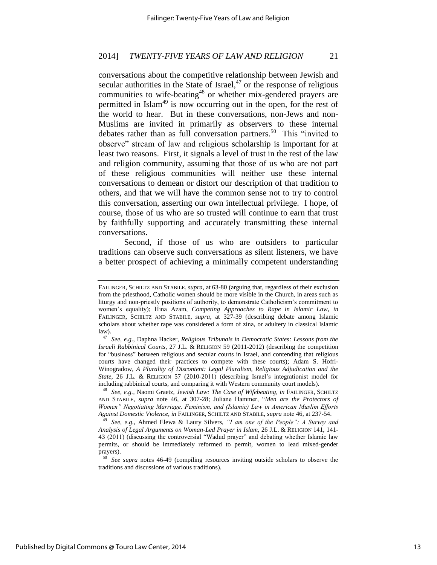conversations about the competitive relationship between Jewish and secular authorities in the State of Israel, $47$  or the response of religious communities to wife-beating<sup>48</sup> or whether mix-gendered prayers are permitted in Islam<sup>49</sup> is now occurring out in the open, for the rest of the world to hear. But in these conversations, non-Jews and non-Muslims are invited in primarily as observers to these internal debates rather than as full conversation partners.<sup>50</sup> This "invited to observe" stream of law and religious scholarship is important for at least two reasons. First, it signals a level of trust in the rest of the law and religion community, assuming that those of us who are not part of these religious communities will neither use these internal conversations to demean or distort our description of that tradition to others, and that we will have the common sense not to try to control this conversation, asserting our own intellectual privilege. I hope, of course, those of us who are so trusted will continue to earn that trust by faithfully supporting and accurately transmitting these internal conversations.

Second, if those of us who are outsiders to particular traditions can observe such conversations as silent listeners, we have a better prospect of achieving a minimally competent understanding

FAILINGER, SCHILTZ AND STABILE, *supra*, at 63-80 (arguing that, regardless of their exclusion from the priesthood, Catholic women should be more visible in the Church, in areas such as liturgy and non-priestly positions of authority, to demonstrate Catholicism's commitment to women's equality); Hina Azam, *Competing Approaches to Rape in Islamic Law*, *in*  FAILINGER, SCHILTZ AND STABILE, *supra*, at 327-39 (describing debate among Islamic scholars about whether rape was considered a form of zina, or adultery in classical Islamic law).

<sup>47</sup> *See, e.g.*, Daphna Hacker, *Religious Tribunals in Democratic States: Lessons from the Israeli Rabbinical Courts*, 27 J.L. & RELIGION 59 (2011-2012) (describing the competition for "business" between religious and secular courts in Israel, and contending that religious courts have changed their practices to compete with these courts); Adam S. Hofri-Winogradow, *A Plurality of Discontent: Legal Pluralism, Religious Adjudication and the State*, 26 J.L. & RELIGION 57 (2010-2011) (describing Israel's integrationist model for including rabbinical courts, and comparing it with Western community court models).

<sup>48</sup> *See, e.g.*, Naomi Graetz, *Jewish Law: The Case of Wifebeating*, *in* FAILINGER, SCHILTZ AND STABILE, *supra* note 46, at 307-28; Juliane Hammer, "*Men are the Protectors of Women" Negotiating Marriage, Feminism, and (Islamic) Law in American Muslim Efforts Against Domestic Violence*, *in* FAILINGER, SCHILTZ AND STABILE, *supra* note 46, at 237-54.

<sup>49</sup> *See, e.g.*, Ahmed Elewa & Laury Silvers, *"I am one of the People": A Survey and Analysis of Legal Arguments on Woman-Led Prayer in Islam*, 26 J.L. & RELIGION 141, 141- 43 (2011) (discussing the controversial "Wadud prayer" and debating whether Islamic law permits, or should be immediately reformed to permit, women to lead mixed-gender prayers).

<sup>50</sup> *See supra* notes 46-49 (compiling resources inviting outside scholars to observe the traditions and discussions of various traditions).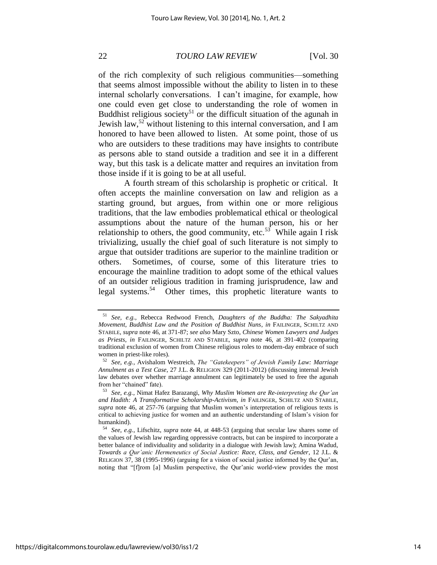of the rich complexity of such religious communities—something that seems almost impossible without the ability to listen in to these internal scholarly conversations. I can't imagine, for example, how one could even get close to understanding the role of women in Buddhist religious society<sup>51</sup> or the difficult situation of the agunah in Jewish law,<sup>52</sup> without listening to this internal conversation, and I am honored to have been allowed to listen. At some point, those of us who are outsiders to these traditions may have insights to contribute as persons able to stand outside a tradition and see it in a different way, but this task is a delicate matter and requires an invitation from those inside if it is going to be at all useful.

A fourth stream of this scholarship is prophetic or critical. It often accepts the mainline conversation on law and religion as a starting ground, but argues, from within one or more religious traditions, that the law embodies problematical ethical or theological assumptions about the nature of the human person, his or her relationship to others, the good community, etc.<sup>53</sup> While again I risk trivializing, usually the chief goal of such literature is not simply to argue that outsider traditions are superior to the mainline tradition or others. Sometimes, of course, some of this literature tries to encourage the mainline tradition to adopt some of the ethical values of an outsider religious tradition in framing jurisprudence, law and legal systems.<sup>54</sup> Other times, this prophetic literature wants to

<sup>51</sup> *See, e.g.*, Rebecca Redwood French, *Daughters of the Buddha: The Sakyadhita Movement, Buddhist Law and the Position of Buddhist Nuns*, *in* FAILINGER, SCHILTZ AND STABILE, *supra* note 46, at 371-87; *see also* Mary Szto, *Chinese Women Lawyers and Judges as Priests*, *in* FAILINGER, SCHILTZ AND STABILE, *supra* note 46, at 391-402 (comparing traditional exclusion of women from Chinese religious roles to modern-day embrace of such women in priest-like roles).

<sup>52</sup> *See, e.g.*, Avishalom Westreich, *The "Gatekeepers" of Jewish Family Law: Marriage Annulment as a Test Case*, 27 J.L. & RELIGION 329 (2011-2012) (discussing internal Jewish law debates over whether marriage annulment can legitimately be used to free the agunah from her "chained" fate).

<sup>53</sup> *See, e.g.*, Nimat Hafez Barazangi, *Why Muslim Women are Re-interpreting the Qur'an and Hadith: A Transformative Scholarship-Activism*, *in* FAILINGER, SCHILTZ AND STABILE, *supra* note 46, at 257-76 (arguing that Muslim women's interpretation of religious texts is critical to achieving justice for women and an authentic understanding of Islam's vision for humankind).

<sup>54</sup> *See, e.g.*, Lifschitz, *supra* note 44, at 448-53 (arguing that secular law shares some of the values of Jewish law regarding oppressive contracts, but can be inspired to incorporate a better balance of individuality and solidarity in a dialogue with Jewish law); Amina Wadud, *Towards a Qur'anic Hermeneutics of Social Justice: Race, Class, and Gender*, 12 J.L. & RELIGION 37, 38 (1995-1996) (arguing for a vision of social justice informed by the Qur'an, noting that "[f]rom [a] Muslim perspective, the Qur'anic world-view provides the most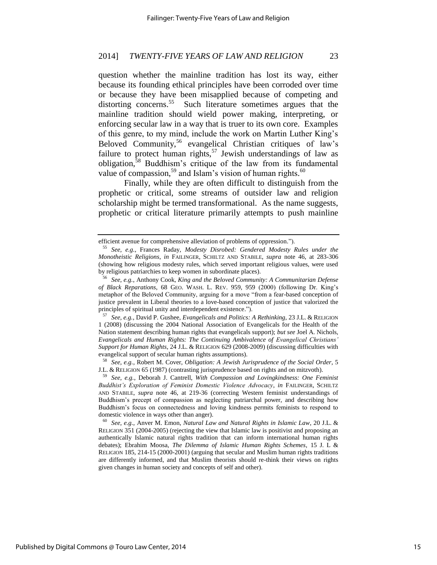question whether the mainline tradition has lost its way, either because its founding ethical principles have been corroded over time or because they have been misapplied because of competing and distorting concerns.<sup>55</sup> Such literature sometimes argues that the mainline tradition should wield power making, interpreting, or enforcing secular law in a way that is truer to its own core. Examples of this genre, to my mind, include the work on Martin Luther King's Beloved Community,<sup>56</sup> evangelical Christian critiques of law's failure to protect human rights,<sup>57</sup> Jewish understandings of law as obligation,<sup>58</sup> Buddhism's critique of the law from its fundamental value of compassion,<sup>59</sup> and Islam's vision of human rights.<sup>60</sup>

Finally, while they are often difficult to distinguish from the prophetic or critical, some streams of outsider law and religion scholarship might be termed transformational. As the name suggests, prophetic or critical literature primarily attempts to push mainline

<sup>58</sup> *See, e.g.*, Robert M. Cover, *Obligation: A Jewish Jurisprudence of the Social Order*, 5 J.L. & RELIGION 65 (1987) (contrasting jurisprudence based on rights and on mitzvoth).

<sup>60</sup> *See, e.g.*, Anver M. Emon, *Natural Law and Natural Rights in Islamic Law*, 20 J.L. & RELIGION 351 (2004-2005) (rejecting the view that Islamic law is positivist and proposing an authentically Islamic natural rights tradition that can inform international human rights debates); Ebrahim Moosa, *The Dilemma of Islamic Human Rights Schemes*, 15 J. L & RELIGION 185, 214-15 (2000-2001) (arguing that secular and Muslim human rights traditions are differently informed, and that Muslim theorists should re-think their views on rights given changes in human society and concepts of self and other).

efficient avenue for comprehensive alleviation of problems of oppression.").

<sup>55</sup> *See, e.g.*, Frances Raday, *Modesty Disrobed: Gendered Modesty Rules under the Monotheistic Religions*, *in* FAILINGER, SCHILTZ AND STABILE, *supra* note 46, at 283-306 (showing how religious modesty rules, which served important religious values, were used by religious patriarchies to keep women in subordinate places).

<sup>56</sup> *See, e.g.*, Anthony Cook, *King and the Beloved Community: A Communitarian Defense of Black Reparations*, 68 GEO. WASH. L. REV. 959, 959 (2000) (following Dr. King's metaphor of the Beloved Community, arguing for a move "from a fear-based conception of justice prevalent in Liberal theories to a love-based conception of justice that valorized the principles of spiritual unity and interdependent existence.").

<sup>57</sup> *See, e.g.*, David P. Gushee, *Evangelicals and Politics: A Rethinking*, 23 J.L. & RELIGION 1 (2008) (discussing the 2004 National Association of Evangelicals for the Health of the Nation statement describing human rights that evangelicals support); *but see* Joel A. Nichols, *Evangelicals and Human Rights: The Continuing Ambivalence of Evangelical Christians' Support for Human Rights*, 24 J.L. & RELIGION 629 (2008-2009) (discussing difficulties with evangelical support of secular human rights assumptions).

<sup>59</sup> *See, e.g.*, Deborah J. Cantrell, *With Compassion and Lovingkindness: One Feminist Buddhist's Exploration of Feminist Domestic Violence Advocacy*, *in* FAILINGER, SCHILTZ AND STABILE, *supra* note 46, at 219-36 (correcting Western feminist understandings of Buddhism's precept of compassion as neglecting patriarchal power, and describing how Buddhism's focus on connectedness and loving kindness permits feminists to respond to domestic violence in ways other than anger).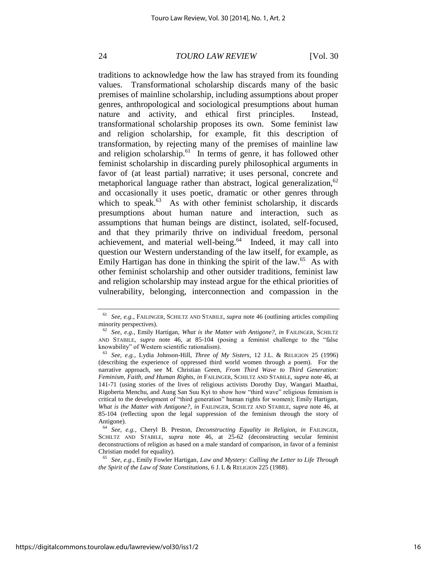traditions to acknowledge how the law has strayed from its founding values. Transformational scholarship discards many of the basic premises of mainline scholarship, including assumptions about proper genres, anthropological and sociological presumptions about human nature and activity, and ethical first principles. Instead, transformational scholarship proposes its own. Some feminist law and religion scholarship, for example, fit this description of transformation, by rejecting many of the premises of mainline law and religion scholarship. $61$  In terms of genre, it has followed other feminist scholarship in discarding purely philosophical arguments in favor of (at least partial) narrative; it uses personal, concrete and metaphorical language rather than abstract, logical generalization,  $62$ and occasionally it uses poetic, dramatic or other genres through which to speak. $63$  As with other feminist scholarship, it discards presumptions about human nature and interaction, such as assumptions that human beings are distinct, isolated, self-focused, and that they primarily thrive on individual freedom, personal achievement, and material well-being.<sup>64</sup> Indeed, it may call into question our Western understanding of the law itself, for example, as Emily Hartigan has done in thinking the spirit of the law.<sup>65</sup> As with other feminist scholarship and other outsider traditions, feminist law and religion scholarship may instead argue for the ethical priorities of vulnerability, belonging, interconnection and compassion in the

<sup>61</sup> *See, e.g.*, FAILINGER, SCHILTZ AND STABILE, *supra* note 46 (outlining articles compiling minority perspectives).

<sup>62</sup> *See, e.g.*, Emily Hartigan, *What is the Matter with Antigone?*, *in* FAILINGER, SCHILTZ AND STABILE, *supra* note 46, at 85-104 (posing a feminist challenge to the "false knowability" of Western scientific rationalism).

<sup>63</sup> *See, e.g.*, Lydia Johnson-Hill, *Three of My Sisters*, 12 J.L. & RELIGION 25 (1996) (describing the experience of oppressed third world women through a poem). For the narrative approach, see M. Christian Green, *From Third Wave to Third Generation: Feminism, Faith, and Human Rights*, *in* FAILINGER, SCHILTZ AND STABILE, *supra* note 46, at 141-71 (using stories of the lives of religious activists Dorothy Day, Wangari Maathai, Rigoberta Menchu, and Aung San Suu Kyi to show how "third wave" religious feminism is critical to the development of "third generation" human rights for women); Emily Hartigan, *What is the Matter with Antigone?*, *in* FAILINGER, SCHILTZ AND STABILE, *supra* note 46, at 85-104 (reflecting upon the legal suppression of the feminism through the story of Antigone).

<sup>64</sup> *See, e.g.*, Cheryl B. Preston, *Deconstructing Equality in Religion*, *in* FAILINGER, SCHILTZ AND STABILE, *supra* note 46, at 25-62 (deconstructing secular feminist deconstructions of religion as based on a male standard of comparison, in favor of a feminist Christian model for equality).

<sup>65</sup> *See, e.g.*, Emily Fowler Hartigan, *Law and Mystery: Calling the Letter to Life Through the Spirit of the Law of State Constitutions*, 6 J. L & RELIGION 225 (1988).